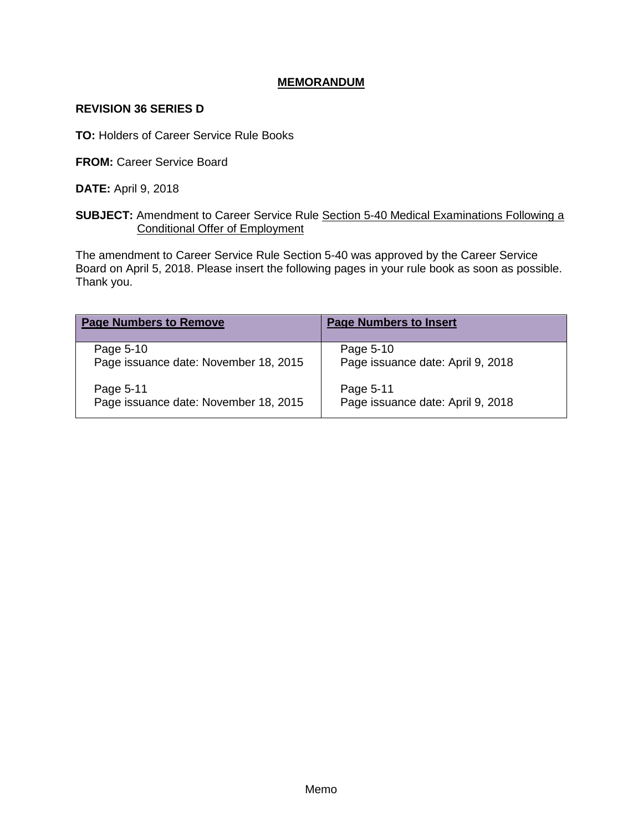# **MEMORANDUM**

#### **REVISION 36 SERIES D**

**TO:** Holders of Career Service Rule Books

**FROM:** Career Service Board

**DATE:** April 9, 2018

## **SUBJECT:** Amendment to Career Service Rule Section 5-40 Medical Examinations Following a Conditional Offer of Employment

The amendment to Career Service Rule Section 5-40 was approved by the Career Service Board on April 5, 2018. Please insert the following pages in your rule book as soon as possible. Thank you.

| <b>Page Numbers to Remove</b>         | <b>Page Numbers to Insert</b>     |
|---------------------------------------|-----------------------------------|
| Page 5-10                             | Page 5-10                         |
| Page issuance date: November 18, 2015 | Page issuance date: April 9, 2018 |
| Page 5-11                             | Page 5-11                         |
| Page issuance date: November 18, 2015 | Page issuance date: April 9, 2018 |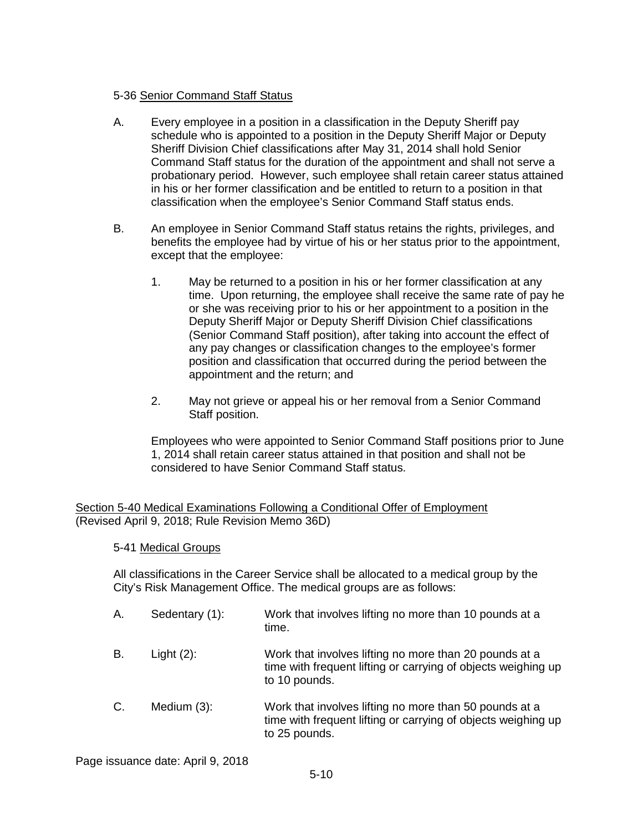## 5-36 Senior Command Staff Status

- A. Every employee in a position in a classification in the Deputy Sheriff pay schedule who is appointed to a position in the Deputy Sheriff Major or Deputy Sheriff Division Chief classifications after May 31, 2014 shall hold Senior Command Staff status for the duration of the appointment and shall not serve a probationary period. However, such employee shall retain career status attained in his or her former classification and be entitled to return to a position in that classification when the employee's Senior Command Staff status ends.
- B. An employee in Senior Command Staff status retains the rights, privileges, and benefits the employee had by virtue of his or her status prior to the appointment, except that the employee:
	- 1. May be returned to a position in his or her former classification at any time. Upon returning, the employee shall receive the same rate of pay he or she was receiving prior to his or her appointment to a position in the Deputy Sheriff Major or Deputy Sheriff Division Chief classifications (Senior Command Staff position), after taking into account the effect of any pay changes or classification changes to the employee's former position and classification that occurred during the period between the appointment and the return; and
	- 2. May not grieve or appeal his or her removal from a Senior Command Staff position.

Employees who were appointed to Senior Command Staff positions prior to June 1, 2014 shall retain career status attained in that position and shall not be considered to have Senior Command Staff status.

Section 5-40 Medical Examinations Following a Conditional Offer of Employment (Revised April 9, 2018; Rule Revision Memo 36D)

5-41 Medical Groups

All classifications in the Career Service shall be allocated to a medical group by the City's Risk Management Office. The medical groups are as follows:

A. Sedentary (1): Work that involves lifting no more than 10 pounds at a time. B. Light (2): Work that involves lifting no more than 20 pounds at a time with frequent lifting or carrying of objects weighing up to 10 pounds. C. Medium (3): Work that involves lifting no more than 50 pounds at a time with frequent lifting or carrying of objects weighing up to 25 pounds.

Page issuance date: April 9, 2018